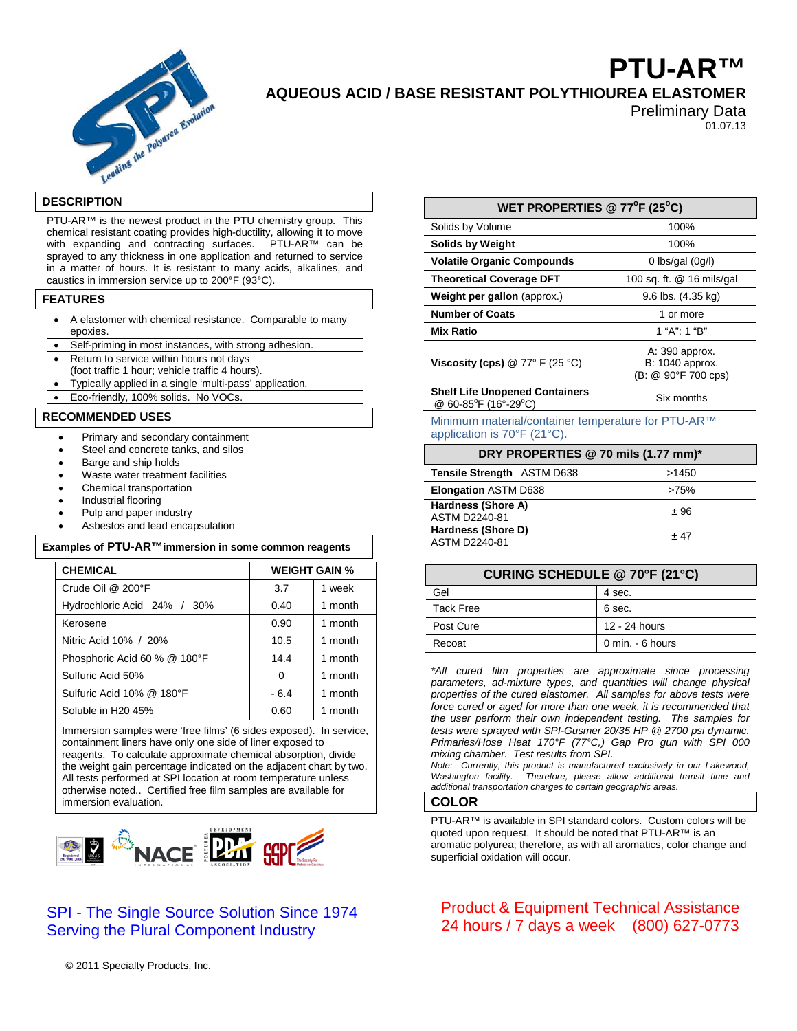

# **PTU-AR™ AQUEOUS ACID / BASE RESISTANT POLYTHIOUREA ELASTOMER**

Preliminary Data 01.07.13

#### **DESCRIPTION**

PTU-AR™ is the newest product in the PTU chemistry group. This chemical resistant coating provides high-ductility, allowing it to move with expanding and contracting surfaces. PTU-AR™ can be sprayed to any thickness in one application and returned to service in a matter of hours. It is resistant to many acids, alkalines, and caustics in immersion service up to 200°F (93°C).

#### **FEATURES**

• A elastomer with chemical resistance. Comparable to many

- epoxies. • Self-priming in most instances, with strong adhesion.
- Return to service within hours not days
- (foot traffic 1 hour; vehicle traffic 4 hours).
- Typically applied in a single 'multi-pass' application.
- Eco-friendly, 100% solids. No VOCs

#### **RECOMMENDED USES**

- Primary and secondary containment
- Steel and concrete tanks, and silos
- Barge and ship holds
- Waste water treatment facilities
- Chemical transportation
- Industrial flooring
- Pulp and paper industry
- Asbestos and lead encapsulation

| Examples of PTU-AR™immersion in some common reagents |                              |                      |         |
|------------------------------------------------------|------------------------------|----------------------|---------|
|                                                      | <b>CHEMICAL</b>              | <b>WEIGHT GAIN %</b> |         |
|                                                      | Crude Oil @ 200°F            | 3.7                  | 1 week  |
|                                                      | Hydrochloric Acid 24% / 30%  | 0.40                 | 1 month |
|                                                      | Kerosene                     | 0.90                 | 1 month |
|                                                      | Nitric Acid 10% / 20%        | 10.5                 | 1 month |
|                                                      | Phosphoric Acid 60 % @ 180°F | 14.4                 | 1 month |
|                                                      | Sulfuric Acid 50%            | 0                    | 1 month |
|                                                      | Sulfuric Acid 10% @ 180°F    | $-6.4$               | 1 month |
|                                                      | Soluble in H20 45%           | 0.60                 | 1 month |
|                                                      |                              |                      |         |

Immersion samples were 'free films' (6 sides exposed). In service, containment liners have only one side of liner exposed to reagents. To calculate approximate chemical absorption, divide the weight gain percentage indicated on the adjacent chart by two. All tests performed at SPI location at room temperature unless otherwise noted.. Certified free film samples are available for immersion evaluation.



## SPI - The Single Source Solution Since 1974 Serving the Plural Component Industry

|  |  | © 2011 Specialty Products, Inc. |  |
|--|--|---------------------------------|--|
|--|--|---------------------------------|--|

| WET PROPERTIES @ 77 $\mathrm{^{\circ}F}$ (25 $\mathrm{^{\circ}C}$ ) |                                                          |  |  |  |
|---------------------------------------------------------------------|----------------------------------------------------------|--|--|--|
| Solids by Volume                                                    | 100%                                                     |  |  |  |
| <b>Solids by Weight</b>                                             | 100%                                                     |  |  |  |
| <b>Volatile Organic Compounds</b>                                   | 0 lbs/gal $(0g/l)$                                       |  |  |  |
| <b>Theoretical Coverage DFT</b>                                     | 100 sq. ft. @ 16 mils/gal                                |  |  |  |
| Weight per gallon (approx.)                                         | $9.6$ lbs. $(4.35 \text{ kg})$                           |  |  |  |
| <b>Number of Coats</b>                                              | 1 or more                                                |  |  |  |
| <b>Mix Ratio</b>                                                    | 1 "A": 1 "B"                                             |  |  |  |
| Viscosity (cps) $@ 77° F (25 °C)$                                   | A: 390 approx.<br>B: 1040 approx.<br>(B: @ 90°F 700 cps) |  |  |  |
| <b>Shelf Life Unopened Containers</b><br>@ 60-85°F (16°-29°C)       | Six months                                               |  |  |  |

Minimum material/container temperature for PTU-AR™ application is 70°F (21°C).

| DRY PROPERTIES @ 70 mils (1.77 mm)*        |       |  |
|--------------------------------------------|-------|--|
| <b>Tensile Strength ASTM D638</b>          | >1450 |  |
| <b>Elongation ASTM D638</b>                | >75%  |  |
| Hardness (Shore A)<br><b>ASTM D2240-81</b> | ±96   |  |
| Hardness (Shore D)<br>ASTM D2240-81        | + 47  |  |

| <b>CURING SCHEDULE @ 70°F (21°C)</b> |                  |
|--------------------------------------|------------------|
| Gel                                  | 4 sec.           |
| Tack Free                            | 6 sec.           |
| Post Cure                            | 12 - 24 hours    |
| Recoat                               | 0 min. - 6 hours |

*\*All cured film properties are approximate since processing parameters, ad-mixture types, and quantities will change physical properties of the cured elastomer. All samples for above tests were force cured or aged for more than one week, it is recommended that the user perform their own independent testing. The samples for tests were sprayed with SPI-Gusmer 20/35 HP @ 2700 psi dynamic. Primaries/Hose Heat 170°F (77°C,) Gap Pro gun with SPI 000 mixing chamber. Test results from SPI.*

*Note: Currently, this product is manufactured exclusively in our Lakewood, Washington facility. Therefore, please allow additional transit time and additional transportation charges to certain geographic areas.*

## **COLOR**

PTU-AR™ is available in SPI standard colors. Custom colors will be quoted upon request. It should be noted that PTU-AR™ is an aromatic polyurea; therefore, as with all aromatics, color change and superficial oxidation will occur.

## Product & Equipment Technical Assistance 24 hours / 7 days a week (800) 627-0773